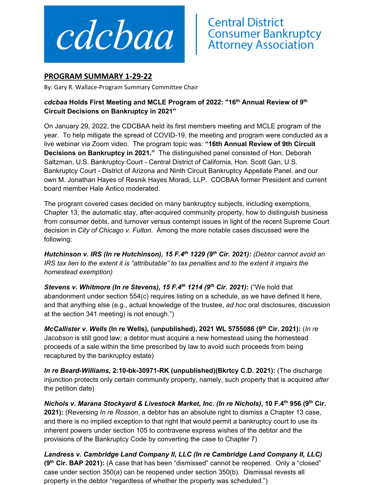

## **PROGRAM SUMMARY 1‐29‐22**

By: Gary R. Wallace‐Program Summary Committee Chair

## *cdcbaa* **Holds First Meeting and MCLE Program of 2022: "16th Annual Review of 9th Circuit Decisions on Bankruptcy in 2021"**

On January 29, 2022, the CDCBAA held its first members meeting and MCLE program of the year. To help mitigate the spread of COVID-19, the meeting and program were conducted as a live webinar via Zoom video. The program topic was: **"16th Annual Review of 9th Circuit Decisions on Bankruptcy in 2021."** The distinguished panel consisted of Hon. Deborah Saltzman, U.S. Bankruptcy Court - Central District of California, Hon. Scott Gan, U.S. Bankruptcy Court - District of Arizona and Ninth Circuit Bankruptcy Appellate Panel, and our own M. Jonathan Hayes of Resnik Hayes Moradi, LLP. CDCBAA former President and current board member Hale Antico moderated.

The program covered cases decided on many bankruptcy subjects, including exemptions, Chapter 13, the automatic stay, after-acquired community property, how to distinguish business from consumer debts, and turnover versus contempt issues in light of the recent Supreme Court decision in *City of Chicago v. Fulton*. Among the more notable cases discussed were the following:

*Hutchinson v. IRS (In re Hutchinson), 15 F.4th 1229 (9th Cir. 2021): (Debtor cannot avoid an IRS tax lien to the extent it is "attributable" to tax penalties and to the extent it impairs the homestead exemption)* 

*Stevens v. Whitmore (In re Stevens), 15 F.4th 1214 (9th Cir. 2021)***:** ("We hold that abandonment under section 554(c) requires listing on a schedule, as we have defined it here, and that anything else (e.g., actual knowledge of the trustee, *ad hoc* oral disclosures, discussion at the section 341 meeting) is not enough.")

*McCallister v. Wells* **(In re Wells), (unpublished), 2021 WL 5755086 (9th Cir. 2021):** (*In re Jacobson* is still good law; a debtor must acquire a new homestead using the homestead proceeds of a sale within the time prescribed by law to avoid such proceeds from being recaptured by the bankruptcy estate)

*In re Beard-Williams***, 2:10-bk-30971-RK (unpublished)(Bkrtcy C.D. 2021):** (The discharge injunction protects only certain community property, namely, such property that is acquired *after* the petition date)

*Nichols v. Marana Stockyard & Livestock Market, Inc. (In re Nichols)***, 10 F.4th 956 (9th Cir. 2021):** (Reversing *In re Rosson*, a debtor has an absolute right to dismiss a Chapter 13 case, and there is no implied exception to that right that would permit a bankruptcy court to use its inherent powers under section 105 to contravene express wishes of the debtor and the provisions of the Bankruptcy Code by converting the case to Chapter 7)

*Landress v. Cambridge Land Company II, LLC (In re Cambridge Land Company II, LLC)*  **(9th Cir. BAP 2021):** (A case that has been "dismissed" cannot be reopened. Only a "closed" case under section 350(a) can be reopened under section 350(b). Dismissal revests all property in the debtor "regardless of whether the property was scheduled.")